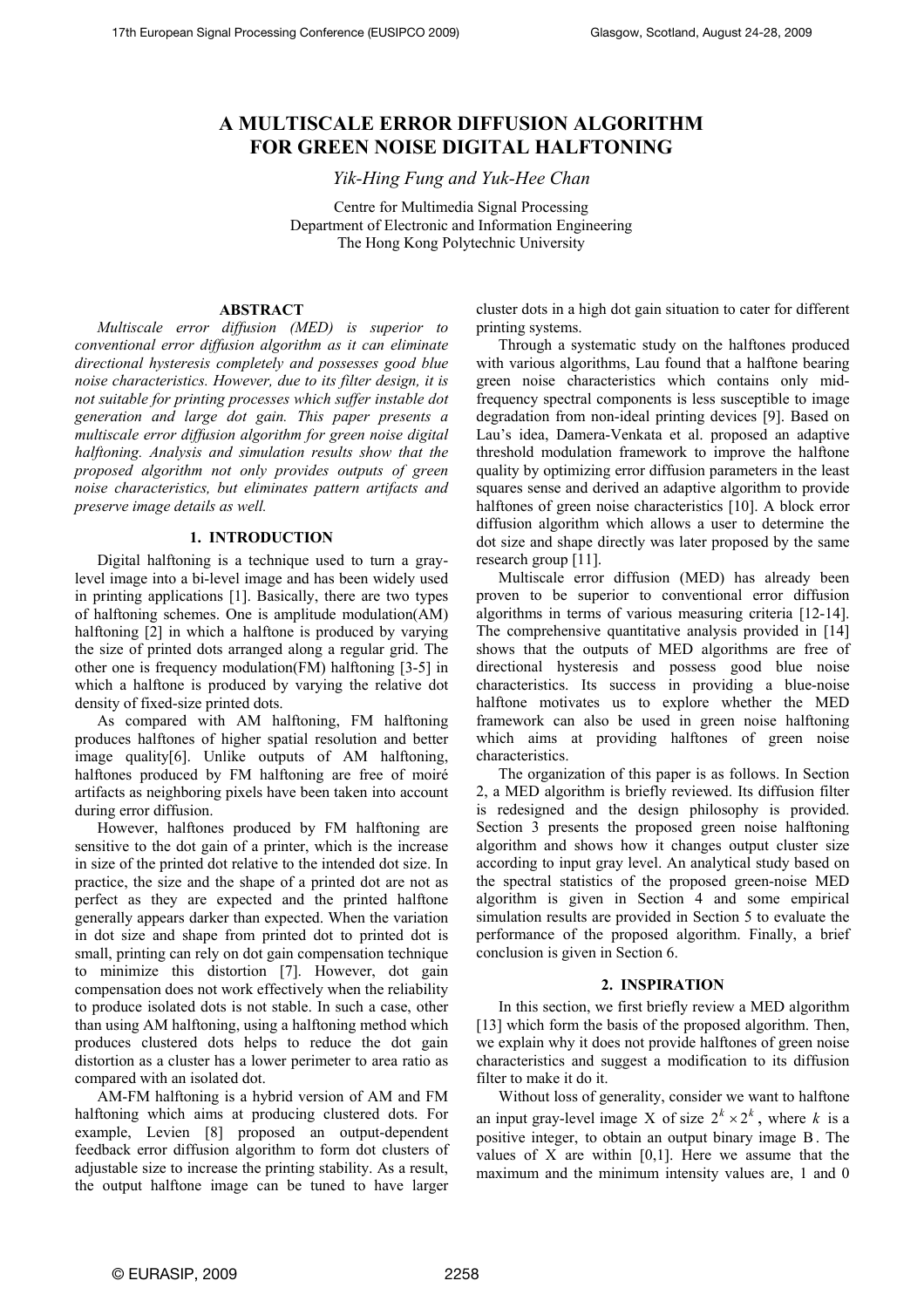# **A MULTISCALE ERROR DIFFUSION ALGORITHM FOR GREEN NOISE DIGITAL HALFTONING**

*Yik-Hing Fung and Yuk-Hee Chan* 

Centre for Multimedia Signal Processing Department of Electronic and Information Engineering The Hong Kong Polytechnic University

## **ABSTRACT**

*Multiscale error diffusion (MED) is superior to conventional error diffusion algorithm as it can eliminate directional hysteresis completely and possesses good blue noise characteristics. However, due to its filter design, it is not suitable for printing processes which suffer instable dot generation and large dot gain. This paper presents a multiscale error diffusion algorithm for green noise digital halftoning. Analysis and simulation results show that the proposed algorithm not only provides outputs of green noise characteristics, but eliminates pattern artifacts and preserve image details as well.* 

## **1. INTRODUCTION**

Digital halftoning is a technique used to turn a graylevel image into a bi-level image and has been widely used in printing applications [1]. Basically, there are two types of halftoning schemes. One is amplitude modulation(AM) halftoning [2] in which a halftone is produced by varying the size of printed dots arranged along a regular grid. The other one is frequency modulation(FM) halftoning [3-5] in which a halftone is produced by varying the relative dot density of fixed-size printed dots.

As compared with AM halftoning, FM halftoning produces halftones of higher spatial resolution and better image quality[6]. Unlike outputs of AM halftoning, halftones produced by FM halftoning are free of moiré artifacts as neighboring pixels have been taken into account during error diffusion.

However, halftones produced by FM halftoning are sensitive to the dot gain of a printer, which is the increase in size of the printed dot relative to the intended dot size. In practice, the size and the shape of a printed dot are not as perfect as they are expected and the printed halftone generally appears darker than expected. When the variation in dot size and shape from printed dot to printed dot is small, printing can rely on dot gain compensation technique to minimize this distortion [7]. However, dot gain compensation does not work effectively when the reliability to produce isolated dots is not stable. In such a case, other than using AM halftoning, using a halftoning method which produces clustered dots helps to reduce the dot gain distortion as a cluster has a lower perimeter to area ratio as compared with an isolated dot.

AM-FM halftoning is a hybrid version of AM and FM halftoning which aims at producing clustered dots. For example, Levien [8] proposed an output-dependent feedback error diffusion algorithm to form dot clusters of adjustable size to increase the printing stability. As a result, the output halftone image can be tuned to have larger

cluster dots in a high dot gain situation to cater for different printing systems.

 Through a systematic study on the halftones produced with various algorithms, Lau found that a halftone bearing green noise characteristics which contains only midfrequency spectral components is less susceptible to image degradation from non-ideal printing devices [9]. Based on Lau's idea, Damera-Venkata et al. proposed an adaptive threshold modulation framework to improve the halftone quality by optimizing error diffusion parameters in the least squares sense and derived an adaptive algorithm to provide halftones of green noise characteristics [10]. A block error diffusion algorithm which allows a user to determine the dot size and shape directly was later proposed by the same research group [11].

 Multiscale error diffusion (MED) has already been proven to be superior to conventional error diffusion algorithms in terms of various measuring criteria [12-14]. The comprehensive quantitative analysis provided in [14] shows that the outputs of MED algorithms are free of directional hysteresis and possess good blue noise characteristics. Its success in providing a blue-noise halftone motivates us to explore whether the MED framework can also be used in green noise halftoning which aims at providing halftones of green noise characteristics.

 The organization of this paper is as follows. In Section 2, a MED algorithm is briefly reviewed. Its diffusion filter is redesigned and the design philosophy is provided. Section 3 presents the proposed green noise halftoning algorithm and shows how it changes output cluster size according to input gray level. An analytical study based on the spectral statistics of the proposed green-noise MED algorithm is given in Section 4 and some empirical simulation results are provided in Section 5 to evaluate the performance of the proposed algorithm. Finally, a brief conclusion is given in Section 6.

#### **2. INSPIRATION**

 In this section, we first briefly review a MED algorithm [13] which form the basis of the proposed algorithm. Then, we explain why it does not provide halftones of green noise characteristics and suggest a modification to its diffusion filter to make it do it.

Without loss of generality, consider we want to halftone an input gray-level image X of size  $2^k \times 2^k$ , where *k* is a positive integer, to obtain an output binary image B. The values of X are within [0,1]. Here we assume that the maximum and the minimum intensity values are, 1 and 0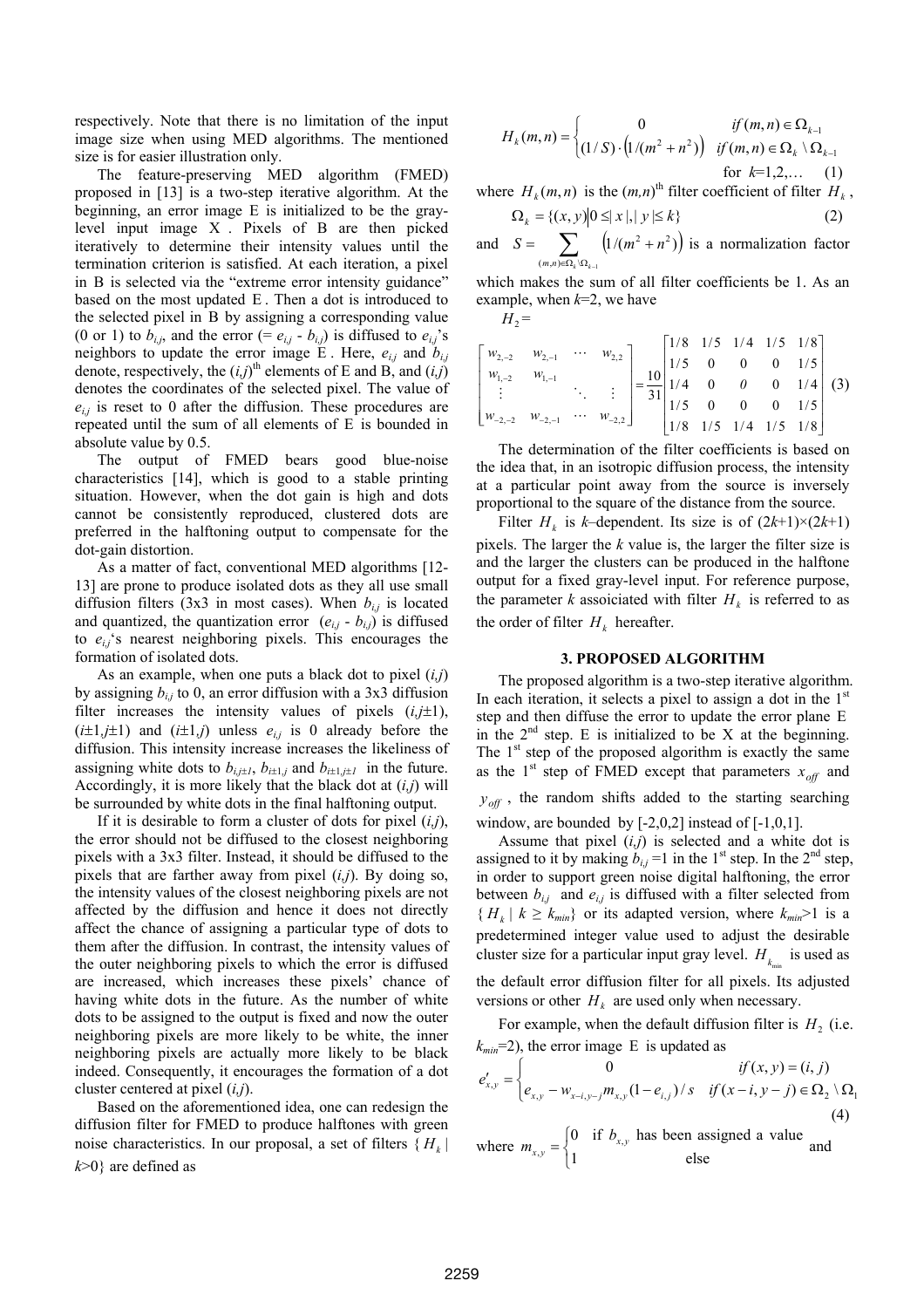respectively. Note that there is no limitation of the input image size when using MED algorithms. The mentioned size is for easier illustration only.

The feature-preserving MED algorithm (FMED) proposed in [13] is a two-step iterative algorithm. At the beginning, an error image E is initialized to be the graylevel input image X . Pixels of B are then picked iteratively to determine their intensity values until the termination criterion is satisfied. At each iteration, a pixel in B is selected via the "extreme error intensity guidance" based on the most updated E . Then a dot is introduced to the selected pixel in B by assigning a corresponding value (0 or 1) to  $b_{i,j}$ , and the error (=  $e_{i,j}$  -  $b_{i,j}$ ) is diffused to  $e_{i,j}$ 's neighbors to update the error image E. Here,  $e_{i,j}$  and  $b_{i,j}$ denote, respectively, the  $(i,j)$ <sup>th</sup> elements of E and B, and  $(i,j)$ denotes the coordinates of the selected pixel. The value of  $e_{i,j}$  is reset to 0 after the diffusion. These procedures are repeated until the sum of all elements of E is bounded in absolute value by 0.5.

The output of FMED bears good blue-noise characteristics [14], which is good to a stable printing situation. However, when the dot gain is high and dots cannot be consistently reproduced, clustered dots are preferred in the halftoning output to compensate for the dot-gain distortion.

As a matter of fact, conventional MED algorithms [12- 13] are prone to produce isolated dots as they all use small diffusion filters (3x3 in most cases). When  $b_{i,j}$  is located and quantized, the quantization error  $(e_{i,j} - b_{i,j})$  is diffused to  $e_{i,j}$ 's nearest neighboring pixels. This encourages the formation of isolated dots.

As an example, when one puts a black dot to pixel (*i,j*) by assigning  $b_{i,j}$  to 0, an error diffusion with a 3x3 diffusion filter increases the intensity values of pixels  $(i,j\pm 1)$ ,  $(i\pm 1, j\pm 1)$  and  $(i\pm 1, j)$  unless  $e_{i,j}$  is 0 already before the diffusion. This intensity increase increases the likeliness of assigning white dots to  $b_{i,j\pm 1}$ ,  $b_{i\pm 1,j}$  and  $b_{i\pm 1,j\pm 1}$  in the future. Accordingly, it is more likely that the black dot at (*i,j*) will be surrounded by white dots in the final halftoning output.

If it is desirable to form a cluster of dots for pixel (*i,j*), the error should not be diffused to the closest neighboring pixels with a 3x3 filter. Instead, it should be diffused to the pixels that are farther away from pixel (*i,j*). By doing so, the intensity values of the closest neighboring pixels are not affected by the diffusion and hence it does not directly affect the chance of assigning a particular type of dots to them after the diffusion. In contrast, the intensity values of the outer neighboring pixels to which the error is diffused are increased, which increases these pixels' chance of having white dots in the future. As the number of white dots to be assigned to the output is fixed and now the outer neighboring pixels are more likely to be white, the inner neighboring pixels are actually more likely to be black indeed. Consequently, it encourages the formation of a dot cluster centered at pixel (*i,j*).

Based on the aforementioned idea, one can redesign the diffusion filter for FMED to produce halftones with green noise characteristics. In our proposal, a set of filters  $\{H_k\}$ *k*>0} are defined as

$$
H_k(m,n) = \begin{cases} 0 & \text{if } (m,n) \in \Omega_{k-1} \\ (1/S) \cdot (1/(m^2 + n^2)) & \text{if } (m,n) \in \Omega_k \setminus \Omega_{k-1} \\ \text{for } k=1,2,... \end{cases}
$$
 (1)

where  $H_k(m, n)$  is the  $(m, n)$ <sup>th</sup> filter coefficient of filter  $H_k$ ,

$$
\Omega_k = \{(x, y) | 0 \le |x|, |y| \le k\}
$$
\n<sup>(2)</sup>

and  $S = \sum_{(m,n)\in\Omega_k \backslash \Omega_{k-1}} \left( 1/(m^2 + n^2) \right)$  $(m, n) \in \Omega_k \backslash \Omega_{k-1}$  $1/(m^2 + n^2)$  $(m, n) \in \Omega_k \backslash \Omega_k$  $S = \sum_{n=1}^{\infty} (1/(m^2 + n^2))$  is a normalization factor

which makes the sum of all filter coefficients be 1. As an example, when  $k=2$ , we have

 $H_2$  =

$$
\begin{bmatrix} w_{2,-2} & w_{2,-1} & \cdots & w_{2,2} \\ w_{1,-2} & w_{1,-1} & \cdots & \vdots \\ \vdots & \ddots & \vdots & \vdots \\ w_{-2,-2} & w_{-2,-1} & \cdots & w_{-2,2} \end{bmatrix} = \frac{10}{31} \begin{bmatrix} 1/8 & 1/5 & 1/4 & 1/5 & 1/8 \\ 1/5 & 0 & 0 & 0 & 1/5 \\ 1/5 & 0 & 0 & 0 & 1/5 \\ 1/8 & 1/5 & 1/4 & 1/5 & 1/8 \end{bmatrix}
$$
 (3)

 The determination of the filter coefficients is based on the idea that, in an isotropic diffusion process, the intensity at a particular point away from the source is inversely proportional to the square of the distance from the source.

Filter  $H_k$  is *k*–dependent. Its size is of  $(2k+1)\times(2k+1)$ pixels. The larger the *k* value is, the larger the filter size is and the larger the clusters can be produced in the halftone output for a fixed gray-level input. For reference purpose, the parameter *k* assoiciated with filter  $H_k$  is referred to as the order of filter  $H_k$  hereafter.

### **3. PROPOSED ALGORITHM**

The proposed algorithm is a two-step iterative algorithm. In each iteration, it selects a pixel to assign a dot in the  $1<sup>st</sup>$ step and then diffuse the error to update the error plane E in the  $2<sup>nd</sup>$  step. E is initialized to be X at the beginning. The  $1<sup>st</sup>$  step of the proposed algorithm is exactly the same as the 1<sup>st</sup> step of FMED except that parameters  $x_{off}$  and  $y_{\text{off}}$ , the random shifts added to the starting searching window, are bounded by  $[-2,0,2]$  instead of  $[-1,0,1]$ .

Assume that pixel  $(i,j)$  is selected and a white dot is assigned to it by making  $b_{i,j}$  =1 in the 1<sup>st</sup> step. In the 2<sup>nd</sup> step, in order to support green noise digital halftoning, the error between  $b_{i,j}$  and  $e_{i,j}$  is diffused with a filter selected from  ${H_k | k \geq k_{min}}$  or its adapted version, where  $k_{min} > 1$  is a predetermined integer value used to adjust the desirable cluster size for a particular input gray level.  $H_k$  is used as the default error diffusion filter for all pixels. Its adjusted versions or other  $H_k$  are used only when necessary.

For example, when the default diffusion filter is  $H_2$  (i.e.  $k_{min}=2$ ), the error image E is updated as

$$
e'_{x,y} = \begin{cases} 0 & \text{if } (x,y) = (i,j) \\ e_{x,y} - w_{x-i,y-j} m_{x,y} (1 - e_{i,j}) / s & \text{if } (x-i, y-j) \in \Omega_2 \setminus \Omega_1 \end{cases}
$$
(4)

where 
$$
m_{x,y} = \begin{cases} 0 & \text{if } b_{x,y} \text{ has been assigned a value} \\ 1 & \text{else} \end{cases}
$$
 and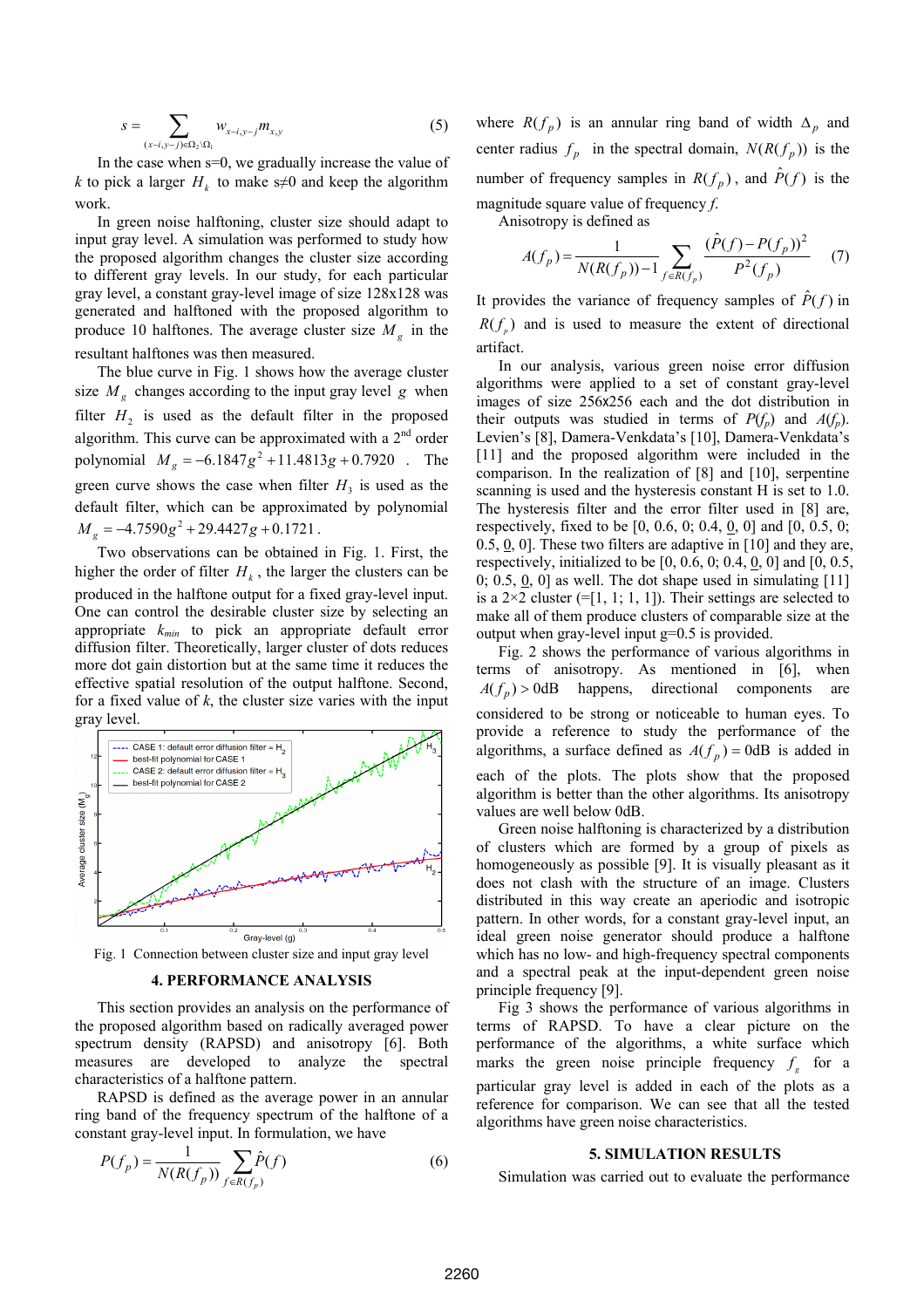$$
s = \sum_{(x-i,y-j)\in\Omega_2\backslash\Omega_1} w_{x-i,y-j} m_{x,y}
$$
 (5)

In the case when s=0, we gradually increase the value of *k* to pick a larger  $H_k$  to make s≠0 and keep the algorithm work.

In green noise halftoning, cluster size should adapt to input gray level. A simulation was performed to study how the proposed algorithm changes the cluster size according to different gray levels. In our study, for each particular gray level, a constant gray-level image of size 128x128 was generated and halftoned with the proposed algorithm to produce 10 halftones. The average cluster size  $M<sub>g</sub>$  in the resultant halftones was then measured.

The blue curve in Fig. 1 shows how the average cluster size  $M<sub>g</sub>$  changes according to the input gray level *g* when filter  $H_2$  is used as the default filter in the proposed algorithm. This curve can be approximated with a  $2<sup>nd</sup>$  order polynomial  $M_g = -6.1847 g^2 + 11.4813 g + 0.7920$  . The green curve shows the case when filter  $H_3$  is used as the default filter, which can be approximated by polynomial  $M<sub>g</sub> = -4.7590 g<sup>2</sup> + 29.4427 g + 0.1721$ .

Two observations can be obtained in Fig. 1. First, the higher the order of filter  $H_k$ , the larger the clusters can be produced in the halftone output for a fixed gray-level input. One can control the desirable cluster size by selecting an appropriate *kmin* to pick an appropriate default error diffusion filter. Theoretically, larger cluster of dots reduces more dot gain distortion but at the same time it reduces the effective spatial resolution of the output halftone. Second, for a fixed value of *k*, the cluster size varies with the input gray level.



Fig. 1 Connection between cluster size and input gray level

### **4. PERFORMANCE ANALYSIS**

This section provides an analysis on the performance of the proposed algorithm based on radically averaged power spectrum density (RAPSD) and anisotropy [6]. Both measures are developed to analyze the spectral characteristics of a halftone pattern.

RAPSD is defined as the average power in an annular ring band of the frequency spectrum of the halftone of a constant gray-level input. In formulation, we have

$$
P(f_p) = \frac{1}{N(R(f_p))} \sum_{f \in R(f_p)} \hat{P}(f)
$$
 (6)

where  $R(f_p)$  is an annular ring band of width  $\Delta_p$  and center radius  $f_p$  in the spectral domain,  $N(R(f_p))$  is the number of frequency samples in  $R(f_p)$ , and  $\hat{P}(f)$  is the magnitude square value of frequency *f*.

Anisotropy is defined as

$$
A(f_p) = \frac{1}{N(R(f_p)) - 1} \sum_{f \in R(f_p)} \frac{(\hat{P}(f) - P(f_p))^2}{P^2(f_p)} \tag{7}
$$

It provides the variance of frequency samples of  $\hat{P}(f)$  in  $R(f_p)$  and is used to measure the extent of directional artifact.

In our analysis, various green noise error diffusion algorithms were applied to a set of constant gray-level images of size 256x256 each and the dot distribution in their outputs was studied in terms of  $P(f_p)$  and  $A(f_p)$ . Levien's [8], Damera-Venkdata's [10], Damera-Venkdata's [11] and the proposed algorithm were included in the comparison. In the realization of [8] and [10], serpentine scanning is used and the hysteresis constant H is set to 1.0. The hysteresis filter and the error filter used in [8] are, respectively, fixed to be [0, 0.6, 0; 0.4, 0, 0] and [0, 0.5, 0; 0.5, 0, 0]. These two filters are adaptive in [10] and they are, respectively, initialized to be  $[0, 0.6, 0; 0.4, 0, 0]$  and  $[0, 0.5, 0]$ 0; 0.5, 0, 0] as well. The dot shape used in simulating  $[11]$ is a  $2\times 2$  cluster (=[1, 1; 1, 1]). Their settings are selected to make all of them produce clusters of comparable size at the output when gray-level input g=0.5 is provided.

Fig. 2 shows the performance of various algorithms in terms of anisotropy. As mentioned in [6], when  $A(f_p) > 0$ dB happens, directional components are considered to be strong or noticeable to human eyes. To provide a reference to study the performance of the algorithms, a surface defined as  $A(f_p) = 0$ dB is added in each of the plots. The plots show that the proposed algorithm is better than the other algorithms. Its anisotropy values are well below 0dB.

 Green noise halftoning is characterized by a distribution of clusters which are formed by a group of pixels as homogeneously as possible [9]. It is visually pleasant as it does not clash with the structure of an image. Clusters distributed in this way create an aperiodic and isotropic pattern. In other words, for a constant gray-level input, an ideal green noise generator should produce a halftone which has no low- and high-frequency spectral components and a spectral peak at the input-dependent green noise principle frequency [9].

Fig 3 shows the performance of various algorithms in terms of RAPSD. To have a clear picture on the performance of the algorithms, a white surface which marks the green noise principle frequency  $f<sub>s</sub>$  for a particular gray level is added in each of the plots as a reference for comparison. We can see that all the tested algorithms have green noise characteristics.

#### **5. SIMULATION RESULTS**

Simulation was carried out to evaluate the performance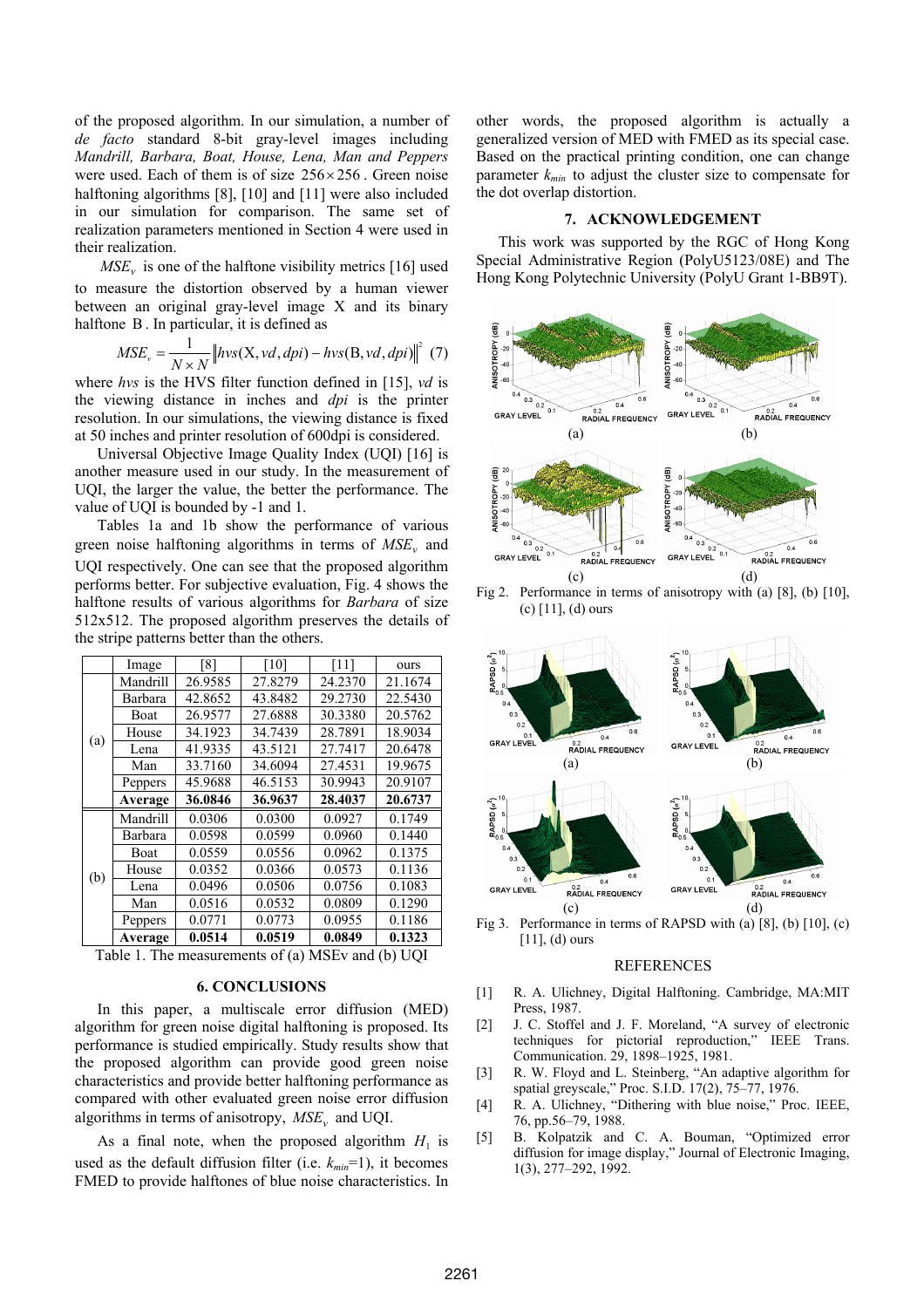of the proposed algorithm. In our simulation, a number of *de facto* standard 8-bit gray-level images including *Mandrill, Barbara, Boat, House, Lena, Man and Peppers* were used. Each of them is of size 256× 256 . Green noise halftoning algorithms [8], [10] and [11] were also included in our simulation for comparison. The same set of realization parameters mentioned in Section 4 were used in their realization.

*MSE<sub>v</sub>* is one of the halftone visibility metrics [16] used to measure the distortion observed by a human viewer between an original gray-level image X and its binary halftone B. In particular, it is defined as

$$
MSE_v = \frac{1}{N \times N} \left\| hvs(X, vd, dpi) - hvs(B, vd, dpi) \right\|^2 \tag{7}
$$

where *hvs* is the HVS filter function defined in [15], *vd* is the viewing distance in inches and *dpi* is the printer resolution. In our simulations, the viewing distance is fixed at 50 inches and printer resolution of 600 dpi is considered.

Universal Objective Image Quality Index (UQI) [16] is another measure used in our study. In the measurement of UQI, the larger the value, the better the performance. The value of UQI is bounded by -1 and 1.

Tables 1a and 1b show the performance of various green noise halftoning algorithms in terms of  $MSE$ <sub>v</sub> and UQI respectively. One can see that the proposed algorithm performs better. For subjective evaluation, Fig. 4 shows the halftone results of various algorithms for *Barbara* of size 512x512. The proposed algorithm preserves the details of the stripe patterns better than the others.

|     | Image    | -81     | [10]    | '111    | ours    |
|-----|----------|---------|---------|---------|---------|
| (a) | Mandrill | 26.9585 | 27.8279 | 24.2370 | 21.1674 |
|     | Barbara  | 42.8652 | 43.8482 | 29.2730 | 22.5430 |
|     | Boat     | 26.9577 | 27.6888 | 30.3380 | 20.5762 |
|     | House    | 34.1923 | 34.7439 | 28.7891 | 18.9034 |
|     | Lena     | 41.9335 | 43.5121 | 27.7417 | 20.6478 |
|     | Man      | 33.7160 | 34.6094 | 27.4531 | 19.9675 |
|     | Peppers  | 45.9688 | 46.5153 | 30.9943 | 20.9107 |
|     | Average  | 36.0846 | 36.9637 | 28.4037 | 20.6737 |
| (b) | Mandrill | 0.0306  | 0.0300  | 0.0927  | 0.1749  |
|     | Barbara  | 0.0598  | 0.0599  | 0.0960  | 0.1440  |
|     | Boat     | 0.0559  | 0.0556  | 0.0962  | 0.1375  |
|     | House    | 0.0352  | 0.0366  | 0.0573  | 0.1136  |
|     | Lena     | 0.0496  | 0.0506  | 0.0756  | 0.1083  |
|     | Man      | 0.0516  | 0.0532  | 0.0809  | 0.1290  |
|     | Peppers  | 0.0771  | 0.0773  | 0.0955  | 0.1186  |
|     | Average  | 0.0514  | 0.0519  | 0.0849  | 0.1323  |

Table 1. The measurements of (a) MSEv and (b) UQI

## **6. CONCLUSIONS**

 In this paper, a multiscale error diffusion (MED) algorithm for green noise digital halftoning is proposed. Its performance is studied empirically. Study results show that the proposed algorithm can provide good green noise characteristics and provide better halftoning performance as compared with other evaluated green noise error diffusion algorithms in terms of anisotropy,  $MSE_v$  and UQI.

As a final note, when the proposed algorithm  $H_1$  is used as the default diffusion filter (i.e.  $k_{min}=1$ ), it becomes FMED to provide halftones of blue noise characteristics. In

other words, the proposed algorithm is actually a generalized version of MED with FMED as its special case. Based on the practical printing condition, one can change parameter *kmin* to adjust the cluster size to compensate for the dot overlap distortion.

### **7. ACKNOWLEDGEMENT**

This work was supported by the RGC of Hong Kong Special Administrative Region (PolyU5123/08E) and The Hong Kong Polytechnic University (PolyU Grant 1-BB9T).



Fig 2. Performance in terms of anisotropy with (a) [8], (b) [10], (c) [11], (d) ours



Fig 3. Performance in terms of RAPSD with (a) [8], (b) [10], (c) [11], (d) ours

#### REFERENCES

- [1] R. A. Ulichney, Digital Halftoning. Cambridge, MA:MIT Press, 1987.
- [2] J. C. Stoffel and J. F. Moreland, "A survey of electronic techniques for pictorial reproduction," IEEE Trans. Communication. 29, 1898–1925, 1981.
- [3] R. W. Floyd and L. Steinberg, "An adaptive algorithm for spatial greyscale," Proc. S.I.D. 17(2), 75–77, 1976.
- [4] R. A. Ulichney, "Dithering with blue noise," Proc. IEEE, 76, pp.56–79, 1988.
- [5] B. Kolpatzik and C. A. Bouman, "Optimized error diffusion for image display," Journal of Electronic Imaging, 1(3), 277–292, 1992.